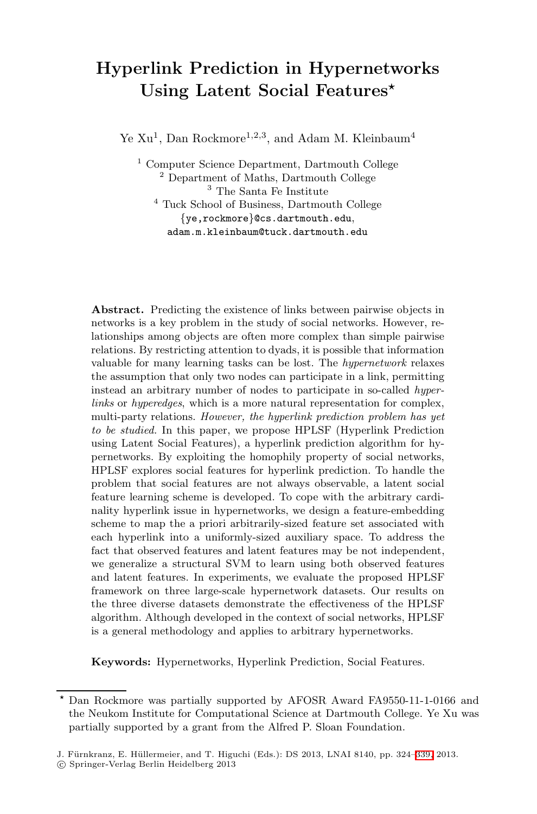# **Hyperlink Prediction in Hypernetworks Using Latent Social Features**

Ye  $Xu<sup>1</sup>$ , Dan Rockmore<sup>1,2,3</sup>, and Adam M. Kleinbaum<sup>4</sup>

 Computer Science Department, Dartmouth College Department of Maths, Dartmouth College The Santa Fe Institute Tuck School of Business, Dartmouth College

{ye,rockmore}@cs.dartmouth.edu, adam.m.kleinbaum@tuck.dartmouth.edu

**Abstract.** Predicting the existence of links between pairwise objects in networks is a key problem in the study of social networks. However, relationships among objects are often more complex than simple pairwise relations. By restricting attention to dyads, it is possible that information valuable for many learning tasks can be lost. The *hypernetwork* relaxes the assumption that only two nodes can participate in a link, permitting instead an arbitrary number of nodes to participate in so-called *hyperlinks* or *hyperedges*, which is a more natural representation for complex, multi-party relations. *However, the hyperlink prediction problem has yet to be studied.* In this paper, we propose HPLSF (Hyperlink Prediction using Latent Social Features), a hyperlink prediction algorithm for hypernetworks. By exploiting the homophily property of social networks, HPLSF explores social features for hyperlink prediction. To handle the problem that social features are not always observable, a latent social feature learning scheme is developed. To cope with the arbitrary cardinality hyperlink issue in hypernetworks, we design a feature-embedding scheme to map the a priori arbitrarily-sized feature set associated with each hyperlink into a uniformly-sized auxiliary space. To address the fact that observed features and latent features may be not independent, we generalize a structural SVM to learn using both observed features and latent features. In experiments, we evaluate the proposed HPLSF framework on three large-scale hypernetwork datasets. Our results on the three diverse datasets demonstrate the effectiveness of the HPLSF algorithm. Although developed in the context of social networks, HPLSF is a general methodology and applies to arbitrary hypernetworks.

**Keywords:** Hypernetworks, Hyperlink Prediction, Social Features.

*<sup>-</sup>* Dan Rockmore was partially supported by AFOSR Award FA9550-11-1-0166 and the Neukom Institute for Computational Science at Dartmouth College. Ye Xu was partially supported by a grant from the Alfred P. Sloan Foundation.

J. Fürnkranz, E. Hüllermeier, and T. Higuchi (Eds.): DS 2013, LNAI 8140, pp. 324–339, 2013.

<sup>-</sup>c Springer-Verlag Berlin Heidelberg 2013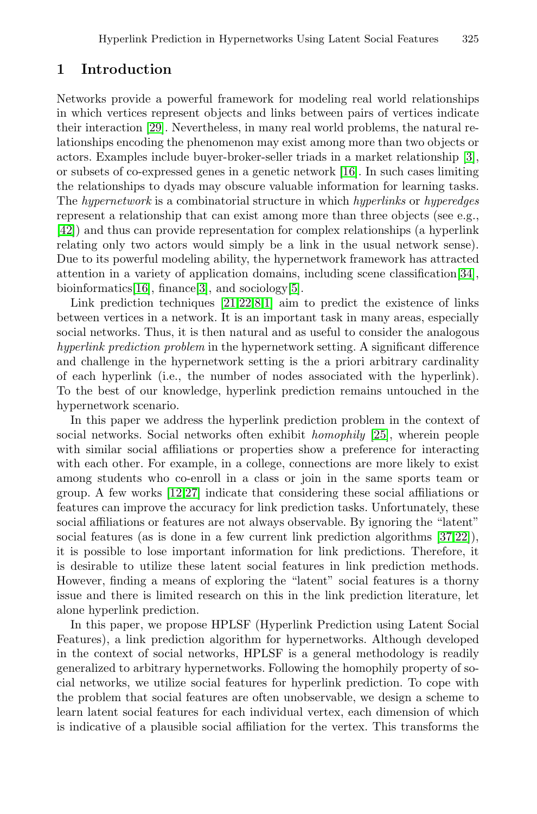## **1 Introduction**

Networks provide a powerful framework for modeling real world relationships in which vertices represent objects and links between pairs of vertices indicate their interaction [29]. Nevertheless, in many real world problems, the natural relationships encoding the phenomenon may exist among more than two objects or actors. Examples include buyer-broker-seller triads in a market relationship [3], or subsets of co-expressed genes in a genetic network [16]. In such cases limiting the relationships to dyads may obscure valuable information for learning tasks. The hypernetwork is a combinatorial structure in which hyperlinks or hyperedges represent a relationship that can exist among more than three objects (see e.g., [42]) and thus can provide representation for complex relationships (a hyperlink relating only two actors would simply be a link in the usual network sense). Due to its powerful modeling ability, the hypernetwork framework has attracted attention in a variety of application domains, including scene classification[34], bioinformatics[16], finance[3], and sociology[5].

Link prediction techniques [21,22,8,1] aim to predict the existence of links between vertices in a network. It is an important task in many areas, especially social networks. Thus, it is then natural and as useful to consider the analogous hyperlink prediction problem in the hypernetwork setting. A significant difference and challenge in the hypernetwork setting is the a priori arbitrary cardinality of each hyperlink (i.e., the number of nodes associated with the hyperlink). To the best of our knowledge, hyperlink prediction remains untouched in the hypernetwork scenario.

In this paper we address the hyperlink prediction problem in the context of social networks. Social networks often exhibit homophily [25], wherein people with similar social affiliations or properties show a preference for interacting with each other. For example, in a college, connections are more likely to exist among students who co-enroll in a class or join in the same sports team or group. A few works [12,27] indicate that considering these social affiliations or features can improve the accuracy for link prediction tasks. Unfortunately, these social affiliations or features are not always observable. By ignoring the "latent" social features (as is done in a few current link prediction algorithms [37,22]), it is possible to lose important information for link predictions. Therefore, it is desirable to utilize these latent social features in link prediction methods. However, finding a means of exploring the "latent" social features is a thorny issue and there is limited research on this in the link prediction literature, let alone hyperlink prediction.

In this paper, we propose HPLSF (Hyperlink Prediction using Latent Social Features), a link prediction algorithm for hypernetworks. Although developed in the context of social networks, HPLSF is a general methodology is readily generalized to arbitrary hypernetworks. Following the homophily property of social networks, we utilize social features for hyperlink prediction. To cope with the problem that social features are often unobservable, we design a scheme to learn latent social features for each individual vertex, each dimension of which is indicative of a plausible social affiliation for the vertex. This transforms the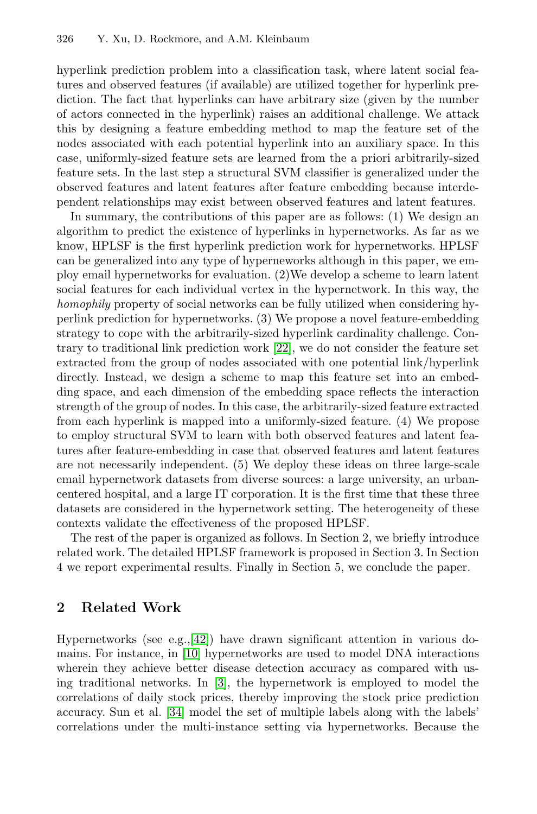hyperlink prediction problem into a classification task, where latent social features and observed features (if available) are utilized together for hyperlink prediction. The fact that hyperlinks can have arbitrary size (given by the number of actors connected in the hyperlink) raises an additional challenge. We attack this by designing a feature embedding method to map the feature set of the nodes associated with each potential hyperlink into an auxiliary space. In this case, uniformly-sized feature sets are learned from the a priori arbitrarily-sized feature sets. In the last step a structural SVM classifier is generalized under the observed features and latent features after feature embedding because interdependent relationships may exist between observed features and latent features.

In summary, the contributions of this paper are as follows: (1) We design an algorithm to predict the existence of hyperlinks in hypernetworks. As far as we know, HPLSF is the first hyperlink prediction work for hypernetworks. HPLSF can be generalized into any type of hyperneworks although in this paper, we employ email hypernetworks for evaluation. (2)We develop a scheme to learn latent social features for each individual vertex in the hypernetwork. In this way, the homophily property of social networks can be fully utilized when considering hyperlink prediction for hypernetworks. (3) We propose a novel feature-embedding strategy to cope with the arbitrarily-sized hyperlink cardinality challenge. Contrary to traditional link prediction work [22], we do not consider the feature set extracted from the group of nodes associated with one potential link/hyperlink directly. Instead, we design a scheme to map this feature set into an embedding space, and each dimension of the embedding space reflects the interaction strength of the group of nodes. In this case, the arbitrarily-sized feature extracted from each hyperlink is mapped into a uniformly-sized feature. (4) We propose to employ structural SVM to learn with both observed features and latent features after feature-embedding in case that observed features and latent features are not necessarily independent. (5) We deploy these ideas on three large-scale email hypernetwork datasets from diverse sources: a large university, an urbancentered hospital, and a large IT corporation. It is the first time that these three datasets are considered in the hypernetwork setting. The heterogeneity of these contexts validate the effectiveness of the proposed HPLSF.

The rest of the paper is organized as follows. In Section 2, we briefly introduce related work. The detailed HPLSF framework is proposed in Section 3. In Section 4 we report experimental results. Finally in Section 5, we conclude the paper.

# **2 Related Work**

Hypernetworks (see e.g.,[42]) have drawn significant attention in various domains. For instance, in [10] hypernetworks are used to model DNA interactions wherein they achieve better disease detection accuracy as compared with using traditional networks. In [3], the hypernetwork is employed to model the correlations of daily stock prices, thereby improving the stock price prediction accuracy. Sun et al. [34] model the set of multiple labels along with the labels' correlations under the multi-instance setting via hypernetworks. Because the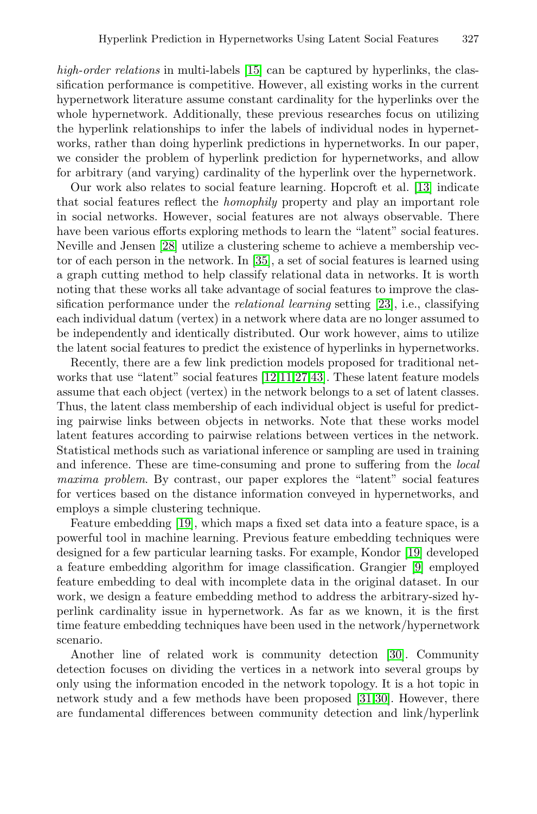high-order relations in multi-labels [15] can be captured by hyperlinks, the classification performance is competitive. However, all existing works in the current hypernetwork literature assume constant cardinality for the hyperlinks over the whole hypernetwork. Additionally, these previous researches focus on utilizing the hyperlink relationships to infer the labels of individual nodes in hypernetworks, rather than doing hyperlink predictions in hypernetworks. In our paper, we consider the problem of hyperlink prediction for hypernetworks, and allow for arbitrary (and varying) cardinality of the hyperlink over the hypernetwork.

Our work also relates to social feature learning. Hopcroft et al. [13] indicate that social features reflect the homophily property and play an important role in social networks. However, social features are not always observable. There have been various efforts exploring methods to learn the "latent" social features. Neville and Jensen [28] utilize a clustering scheme to achieve a membership vector of each person in the network. In [35], a set of social features is learned using a graph cutting method to help classify relational data in networks. It is worth noting that these works all take advantage of social features to improve the classification performance under the relational learning setting [23], i.e., classifying each individual datum (vertex) in a network where data are no longer assumed to be independently and identically distributed. Our work however, aims to utilize the latent social features to predict the existence of hyperlinks in hypernetworks.

Recently, there are a few link prediction models proposed for traditional networks that use "latent" social features [12,11,27,43]. These latent feature models assume that each object (vertex) in the network belongs to a set of latent classes. Thus, the latent class membership of each individual object is useful for predicting pairwise links between objects in networks. Note that these works model latent features according to pairwise relations between vertices in the network. Statistical methods such as variational inference or sampling are used in training and inference. These are time-consuming and prone to suffering from the local maxima problem. By contrast, our paper explores the "latent" social features for vertices based on the distance information conveyed in hypernetworks, and employs a simple clustering technique.

Feature embedding [19], which maps a fixed set data into a feature space, is a powerful tool in machine learning. Previous feature embedding techniques were designed for a few particular learning tasks. For example, Kondor [19] developed a feature embedding algorithm for image classification. Grangier [9] employed feature embedding to deal with incomplete data in the original dataset. In our work, we design a feature embedding method to address the arbitrary-sized hyperlink cardinality issue in hypernetwork. As far as we known, it is the first time feature embedding techniques have been used in the network/hypernetwork scenario.

Another line of related work is community detection [30]. Community detection focuses on dividing the vertices in a network into several groups by only using the information encoded in the network topology. It is a hot topic in network study and a few methods have been proposed [31,30]. However, there are fundamental differences between community detection and link/hyperlink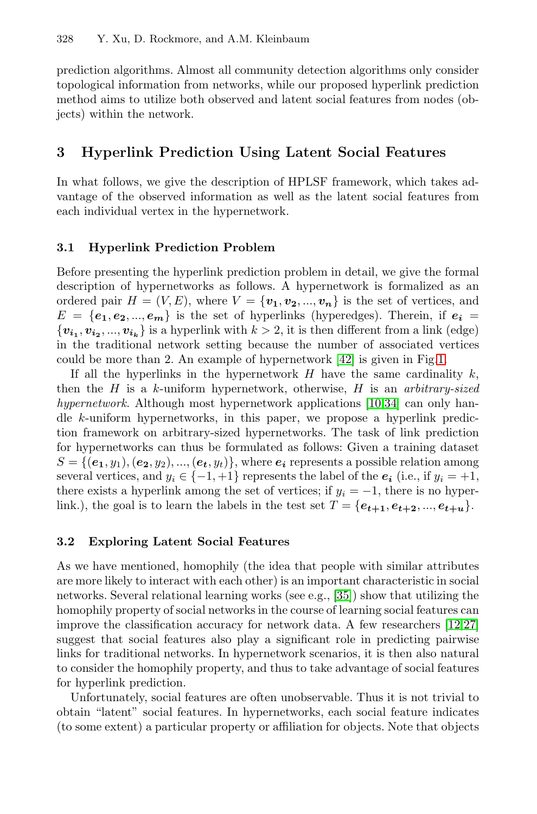prediction algorithms. Almost all community detection algorithms only consider topological information from networks, while our proposed hyperlink prediction method aims to utilize both observed and latent social features from nodes (objects) within the network.

# **3 Hyperlink Prediction Using Latent Social Features**

In what follows, we give the description of HPLSF framework, which takes advantage of the observed information as well as the latent social features from each individual vertex in the hypernetwork.

#### **3.1 Hyperlink Prediction Problem**

Before presenting the hyperlink prediction problem in detail, we give the formal description of hypernetworks as follows. A hypernetwork is formalized as an ordered pair  $H = (V, E)$ , where  $V = \{v_1, v_2, ..., v_n\}$  is the set of vertices, and  $E = \{e_1, e_2, ..., e_m\}$  is the set of hyperlinks (hyperedges). Therein, if  $e_i =$  $\{v_{i_1}, v_{i_2}, ..., v_{i_k}\}\$ is a hyperlink with  $k > 2$ , it is then different from a link (edge) in the traditional network setting because the number of associated vertices could be more than 2. An example of hypernetwork [42] is given in Fig.1.

If all the hyperlinks in the hypernetwork  $H$  have the same cardinality  $k$ , then the H is a k-uniform hypernetwork, otherwise, H is an arbitrary-sized hypernetwork. Although most hypernetwork applications [10,34] can only handle k-uniform hypernetworks, in this paper, we propose a hyperlink prediction framework on arbitrary-sized hypernetworks. The task of link prediction for hypernetworks can thus be formulated as follows: Given a training dataset  $S = \{(\boldsymbol{e}_1, y_1), (\boldsymbol{e}_2, y_2), ..., (\boldsymbol{e}_t, y_t)\}\$ , where  $\boldsymbol{e}_i$  represents a possible relation among several vertices, and  $y_i \in \{-1, +1\}$  represents the label of the  $e_i$  (i.e., if  $y_i = +1$ , there exists a hyperlink among the set of vertices; if  $y_i = -1$ , there is no hyperlink.), the goal is to learn the labels in the test set  $T = \{e_{t+1}, e_{t+2}, ..., e_{t+u}\}.$ 

## **3.2 Exploring Latent Social Features**

As we have mentioned, homophily (the idea that people with similar attributes are more likely to interact with each other) is an important characteristic in social networks. Several relational learning works (see e.g., [35]) show that utilizing the homophily property of social networks in the course of learning social features can improve the classification accuracy for network data. A few researchers [12,27] suggest that social features also play a significant role in predicting pairwise links for traditional networks. In hypernetwork scenarios, it is then also natural to consider the homophily property, and thus to take advantage of social features for hyperlink prediction.

Unfortunately, social features are often unobservable. Thus it is not trivial to obtain "latent" social features. In hypernetworks, each social feature indicates (to some extent) a particular property or affiliation for objects. Note that objects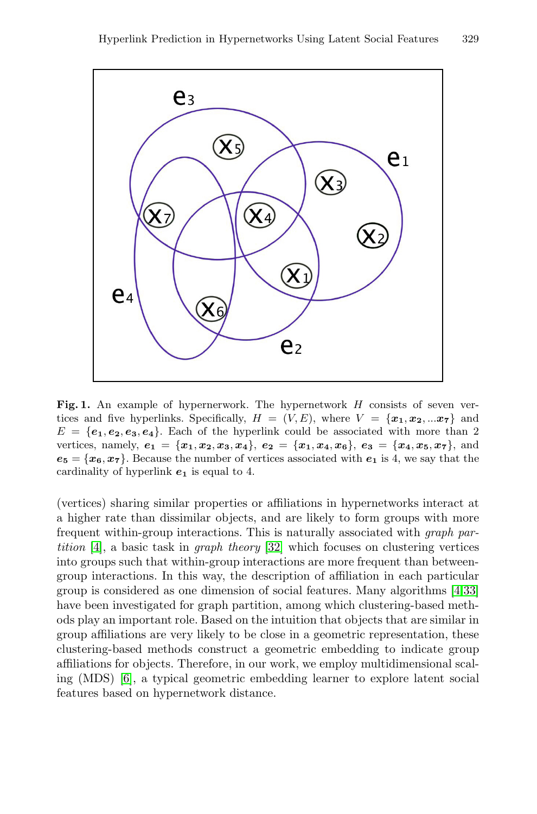

Fig. 1. An example of hypernerwork. The hypernetwork H consists of seven vertices and five hyperlinks. Specifically,  $H = (V, E)$ , where  $V = \{x_1, x_2, ... x_7\}$  and  $E = \{e_1, e_2, e_3, e_4\}$ . Each of the hyperlink could be associated with more than 2 vertices, namely,  $e_1 = \{x_1, x_2, x_3, x_4\}$ ,  $e_2 = \{x_1, x_4, x_6\}$ ,  $e_3 = \{x_4, x_5, x_7\}$ , and  $e_5 = {x_6, x_7}$ . Because the number of vertices associated with  $e_1$  is 4, we say that the cardinality of hyperlink *e***<sup>1</sup>** is equal to 4.

(vertices) sharing similar properties or affiliations in hypernetworks interact at a higher rate than dissimilar objects, and are likely to form groups with more frequent within-group interactions. This is naturally associated with graph partition [4], a basic task in graph theory [32] which focuses on clustering vertices into groups such that within-group interactions are more frequent than betweengroup interactions. In this way, the description of affiliation in each particular group is considered as one dimension of social features. Many algorithms [4,33] have been investigated for graph partition, among which clustering-based methods play an important role. Based on the intuition that objects that are similar in group affiliations are very likely to be close in a geometric representation, these clustering-based methods construct a geometric embedding to indicate group affiliations for objects. Therefore, in our work, we employ multidimensional scaling (MDS) [6], a typical geometric embedding learner to explore latent social features based on hypernetwork distance.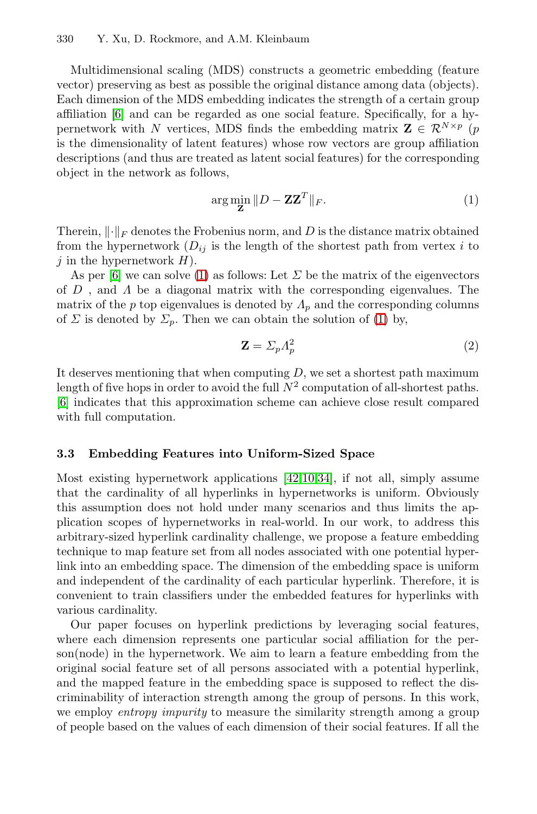Multidimensional scaling (MDS) constructs a geometric embedding (feature vector) preserving as best as possible the original distance among data (objects). Each dimension of the MDS embedding indicates the strength of a certain group affiliation [6] and can be regarded as one social feature. Specifically, for a hypernetwork with N vertices, MDS finds the embedding matrix  $\mathbf{Z} \in \mathcal{R}^{N \times p}$  (p is the dimensionality of latent features) whose row vectors are group affiliation descriptions (and thus are treated as latent social features) for the corresponding object in the network as follows,

$$
\arg\min_{\mathbf{Z}} \|D - \mathbf{Z}\mathbf{Z}^T\|_F. \tag{1}
$$

Therein,  $\lVert \cdot \rVert_F$  denotes the Frobenius norm, and D is the distance matrix obtained from the hypernetwork  $(D_{ij}$  is the length of the shortest path from vertex i to j in the hypernetwork  $H$ ).

As per [6] we can solve (1) as follows: Let  $\Sigma$  be the matrix of the eigenvectors of  $D$ , and  $\Lambda$  be a diagonal matrix with the corresponding eigenvalues. The matrix of the p top eigenvalues is denoted by  $\Lambda_p$  and the corresponding columns of  $\Sigma$  is denoted by  $\Sigma_p$ . Then we can obtain the solution of (1) by,

$$
\mathbf{Z} = \Sigma_p A_p^2 \tag{2}
$$

It deserves mentioning that when computing  $D$ , we set a shortest path maximum length of five hops in order to avoid the full  $N^2$  computation of all-shortest paths. [6] indicates that this approximation scheme can achieve close result compared with full computation.

## **3.3 Embedding Features into Uniform-Sized Space**

Most existing hypernetwork applications [42,10,34], if not all, simply assume that the cardinality of all hyperlinks in hypernetworks is uniform. Obviously this assumption does not hold under many scenarios and thus limits the application scopes of hypernetworks in real-world. In our work, to address this arbitrary-sized hyperlink cardinality challenge, we propose a feature embedding technique to map feature set from all nodes associated with one potential hyperlink into an embedding space. The dimension of the embedding space is uniform and independent of the cardinality of each particular hyperlink. Therefore, it is convenient to train classifiers under the embedded features for hyperlinks with various cardinality.

Our paper focuses on hyperlink predictions by leveraging social features, where each dimension represents one particular social affiliation for the person(node) in the hypernetwork. We aim to learn a feature embedding from the original social feature set of all persons associated with a potential hyperlink, and the mapped feature in the embedding space is supposed to reflect the discriminability of interaction strength among the group of persons. In this work, we employ *entropy impurity* to measure the similarity strength among a group of people based on the values of each dimension of their social features. If all the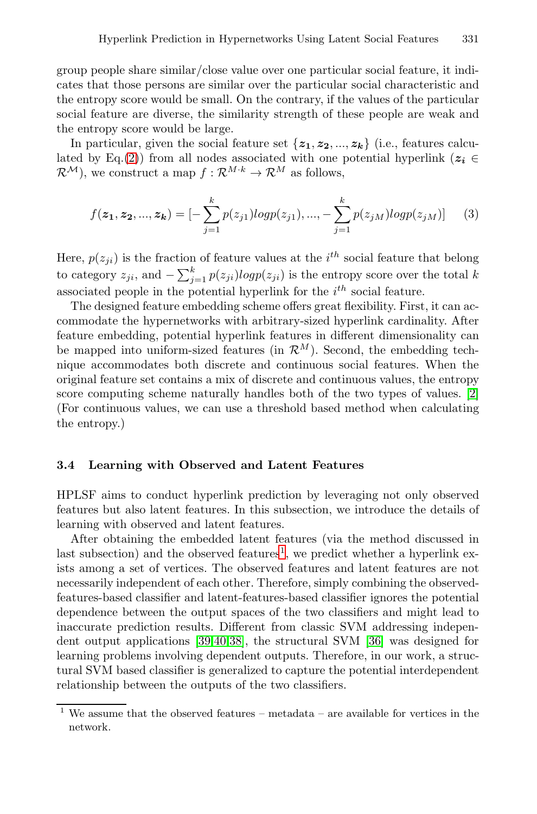group people share similar/close value over one particular social feature, it indicates that those persons are similar over the particular social characteristic and the entropy score would be small. On the contrary, if the values of the particular social feature are diverse, the similarity strength of these people are weak and the entropy score would be large.

In particular, given the social feature set  $\{z_1, z_2, ..., z_k\}$  (i.e., features calculated by Eq.(2)) from all nodes associated with one potential hyperlink ( $z_i \in \mathbb{R}^{M}$  $\mathcal{R}^{\mathcal{M}}$ ), we construct a map  $f: \mathcal{R}^{M \cdot k} \to \mathcal{R}^{M}$  as follows,

$$
f(z_1, z_2, ..., z_k) = [-\sum_{j=1}^k p(z_{j1})log p(z_{j1}), ..., -\sum_{j=1}^k p(z_{jM})log p(z_{jM})]
$$
(3)

Here,  $p(z_{ji})$  is the fraction of feature values at the  $i^{th}$  social feature that belong to category  $z_{ji}$ , and  $-\sum_{j=1}^{k} p(z_{ji})log p(z_{ji})$  is the entropy score over the total k associated people in the potential hyperlink for the  $i^{th}$  social feature.

The designed feature embedding scheme offers great flexibility. First, it can accommodate the hypernetworks with arbitrary-sized hyperlink cardinality. After feature embedding, potential hyperlink features in different dimensionality can be mapped into uniform-sized features (in  $\mathcal{R}^M$ ). Second, the embedding technique accommodates both discrete and continuous social features. When the original feature set contains a mix of discrete and continuous values, the entropy score computing scheme naturally handles both of the two types of values. [2] (For continuous values, we can use a threshold based method when calculating the entropy.)

#### **3.4 Learning with Observed and Latent Features**

HPLSF aims to conduct hyperlink prediction by leveraging not only observed features but also latent features. In this subsection, we introduce the details of learning with observed and latent features.

After obtaining the embedded latent features (via the method discussed in last subsection) and the observed features<sup>1</sup>, we predict whether a hyperlink exists among a set of vertices. The observed features and latent features are not necessarily independent of each other. Therefore, simply combining the observedfeatures-based classifier and latent-features-based classifier ignores the potential dependence between the output spaces of the two classifiers and might lead to inaccurate prediction results. Different from classic SVM addressing independent output applications [39,40,38], the structural SVM [36] was designed for learning problems involving dependent outputs. Therefore, in our work, a structural SVM based classifier is generalized to capture the potential interdependent relationship between the outputs of the two classifiers.

We assume that the observed features – metadata – are available for vertices in the network.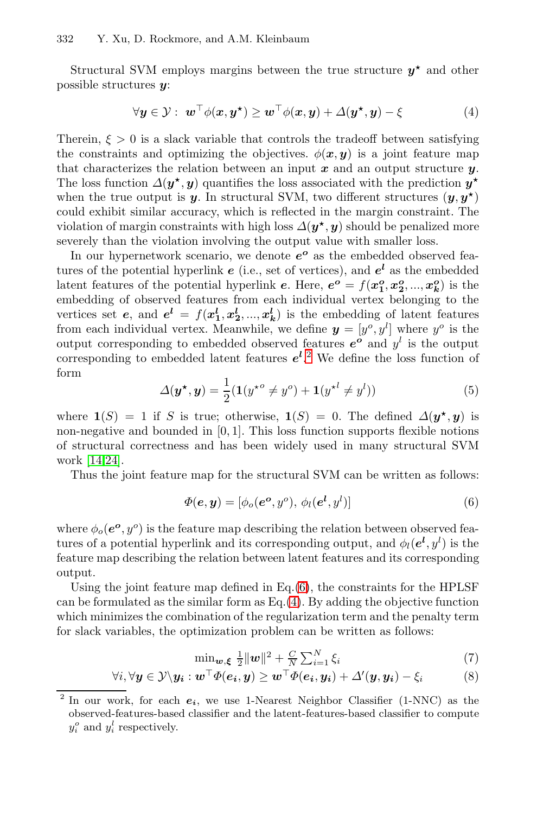Structural SVM employs margins between the true structure  $y^*$  and other possible structures *y*:

$$
\forall \mathbf{y} \in \mathcal{Y}: \ \mathbf{w}^{\top} \phi(\mathbf{x}, \mathbf{y}^{\star}) \geq \mathbf{w}^{\top} \phi(\mathbf{x}, \mathbf{y}) + \Delta(\mathbf{y}^{\star}, \mathbf{y}) - \xi \tag{4}
$$

Therein,  $\xi > 0$  is a slack variable that controls the tradeoff between satisfying the constraints and optimizing the objectives.  $\phi(x, y)$  is a joint feature map that characterizes the relation between an input *x* and an output structure *y*. The loss function  $\Delta(y^*, y)$  quantifies the loss associated with the prediction  $y^*$ when the true output is  $y$ . In structural SVM, two different structures  $(y, y^*)$ could exhibit similar accuracy, which is reflected in the margin constraint. The violation of margin constraints with high loss  $\varDelta({\bm{y}}^\star, {\bm{y}})$  should be penalized more severely than the violation involving the output value with smaller loss.

In our hypernetwork scenario, we denote *e<sup>o</sup>* as the embedded observed features of the potential hyperlink  $e$  (i.e., set of vertices), and  $e^{l}$  as the embedded latent features of the potential hyperlink *e*. Here,  $e^o = f(x_1^o, x_2^o, ..., x_k^o)$  is the embedding of observed features from each individual vertex belonging to the vertices set *e*, and  $e^{l} = f(x_1^l, x_2^l, ..., x_k^l)$  is the embedding of latent features from each individual vertex. Meanwhile, we define  $y = [y^o, y^l]$  where  $y^o$  is the output corresponding to embedded observed features  $e^{\boldsymbol{\phi}}$  and  $y^l$  is the output corresponding to embedded latent features *e<sup>l</sup>* . <sup>2</sup> We define the loss function of form

$$
\Delta(\bm{y}^{\star}, \bm{y}) = \frac{1}{2} (\bm{1}(y^{\star o} \neq y^o) + \bm{1}(y^{\star l} \neq y^l))
$$
(5)

where  $\mathbf{1}(S) = 1$  if S is true; otherwise,  $\mathbf{1}(S) = 0$ . The defined  $\Delta(\mathbf{y}^*, \mathbf{y})$  is non-negative and bounded in [0, 1]. This loss function supports flexible notions of structural correctness and has been widely used in many structural SVM work [14,24].

Thus the joint feature map for the structural SVM can be written as follows:

$$
\Phi(\mathbf{e}, \mathbf{y}) = [\phi_o(\mathbf{e}^{\mathbf{o}}, y^o), \phi_l(\mathbf{e}^{\mathbf{l}}, y^l)] \tag{6}
$$

where  $\phi_o(e^o, y^o)$  is the feature map describing the relation between observed features of a potential hyperlink and its corresponding output, and  $\phi_l(e^{\bm{l}}, y^l)$  is the feature map describing the relation between latent features and its corresponding output.

Using the joint feature map defined in  $Eq.(6)$ , the constraints for the HPLSF can be formulated as the similar form as Eq.(4). By adding the objective function which minimizes the combination of the regularization term and the penalty term for slack variables, the optimization problem can be written as follows:

$$
\min_{\mathbf{w}, \xi} \frac{1}{2} \|\mathbf{w}\|^2 + \frac{C}{N} \sum_{i=1}^N \xi_i \tag{7}
$$

$$
\forall i, \forall \mathbf{y} \in \mathcal{Y} \setminus \mathbf{y_i} : \mathbf{w}^\top \Phi(\mathbf{e_i}, \mathbf{y}) \geq \mathbf{w}^\top \Phi(\mathbf{e_i}, \mathbf{y_i}) + \Delta'(\mathbf{y}, \mathbf{y_i}) - \xi_i
$$
 (8)

<sup>&</sup>lt;sup>2</sup> In our work, for each  $e_i$ , we use 1-Nearest Neighbor Classifier (1-NNC) as the observed-features-based classifier and the latent-features-based classifier to compute  $y_i^o$  and  $y_i^l$  respectively.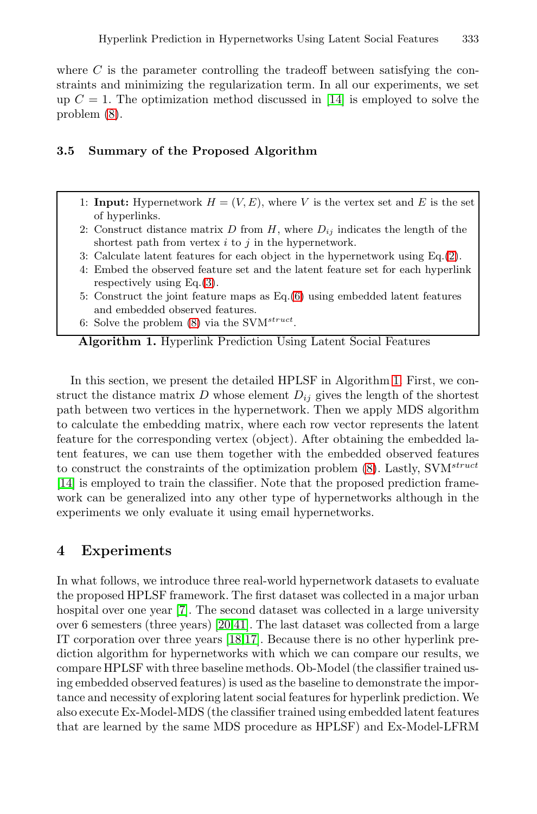where  $C$  is the parameter controlling the tradeoff between satisfying the constraints and minimizing the regularization term. In all our experiments, we set up  $C = 1$ . The optimization method discussed in [14] is employed to solve the problem (8).

## **3.5 Summary of the Proposed Algorithm**

- 1: **Input:** Hypernetwork  $H = (V, E)$ , where V is the vertex set and E is the set of hyperlinks.
- 2: Construct distance matrix D from H, where  $D_{ij}$  indicates the length of the shortest path from vertex  $i$  to  $j$  in the hypernetwork.
- 3: Calculate latent features for each object in the hypernetwork using Eq.(2).
- 4: Embed the observed feature set and the latent feature set for each hyperlink respectively using Eq.(3).
- 5: Construct the joint feature maps as Eq.(6) using embedded latent features and embedded observed features.
- 6: Solve the problem (8) via the SVM<sup>struct</sup>.

## **Algorithm 1.** Hyperlink Prediction Using Latent Social Features

In this section, we present the detailed HPLSF in Algorithm 1. First, we construct the distance matrix  $D$  whose element  $D_{ij}$  gives the length of the shortest path between two vertices in the hypernetwork. Then we apply MDS algorithm to calculate the embedding matrix, where each row vector represents the latent feature for the corresponding vertex (object). After obtaining the embedded latent features, we can use them together with the embedded observed features to construct the constraints of the optimization problem  $(8)$ . Lastly, SVM<sup>struct</sup> [14] is employed to train the classifier. Note that the proposed prediction framework can be generalized into any other type of hypernetworks although in the experiments we only evaluate it using email hypernetworks.

# **4 Experiments**

In what follows, we introduce three real-world hypernetwork datasets to evaluate the proposed HPLSF framework. The first dataset was collected in a major urban hospital over one year [7]. The second dataset was collected in a large university over 6 semesters (three years) [20,41]. The last dataset was collected from a large IT corporation over three years [18,17]. Because there is no other hyperlink prediction algorithm for hypernetworks with which we can compare our results, we compare HPLSF with three baseline methods. Ob-Model (the classifier trained using embedded observed features) is used asthe baseline to demonstrate the importance and necessity of exploring latent social features for hyperlink prediction. We also execute Ex-Model-MDS (the classifier trained using embedded latent features that are learned by the same MDS procedure as HPLSF) and Ex-Model-LFRM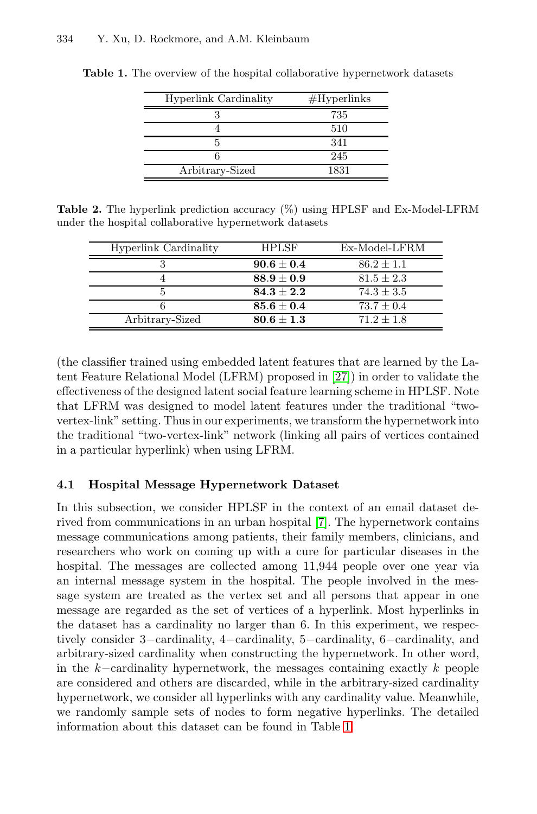| <b>Hyperlink Cardinality</b> | #Hyperlinks |
|------------------------------|-------------|
|                              | 735         |
|                              | 510         |
| 5                            | 341         |
|                              | 245         |
| Arbitrary-Sized              | 1831        |

**Table 1.** The overview of the hospital collaborative hypernetwork datasets

**Table 2.** The hyperlink prediction accuracy (%) using HPLSF and Ex-Model-LFRM under the hospital collaborative hypernetwork datasets

| Hyperlink Cardinality | <b>HPLSF</b>   | Ex-Model-LFRM  |
|-----------------------|----------------|----------------|
|                       | $90.6 \pm 0.4$ | $86.2 \pm 1.1$ |
|                       | $88.9 + 0.9$   | $81.5 + 2.3$   |
|                       | $84.3 + 2.2$   | $74.3 + 3.5$   |
|                       | $85.6 \pm 0.4$ | $73.7 \pm 0.4$ |
| Arbitrary-Sized       | $80.6 \pm 1.3$ | $71.2 + 1.8$   |

(the classifier trained using embedded latent features that are learned by the Latent Feature Relational Model (LFRM) proposed in [27]) in order to validate the effectiveness of the designed latent social feature learning scheme in HPLSF. Note that LFRM was designed to model latent features under the traditional "twovertex-link" setting. Thus in our experiments, we transform the hypernetwork into the traditional "two-vertex-link" network (linking all pairs of vertices contained in a particular hyperlink) when using LFRM.

## **4.1 Hospital Message Hypernetwork Dataset**

In this subsection, we consider HPLSF in the context of an email dataset derived from communications in an urban hospital [7]. The hypernetwork contains message communications among patients, their family members, clinicians, and researchers who work on coming up with a cure for particular diseases in the hospital. The messages are collected among 11,944 people over one year via an internal message system in the hospital. The people involved in the message system are treated as the vertex set and all persons that appear in one message are regarded as the set of vertices of a hyperlink. Most hyperlinks in the dataset has a cardinality no larger than 6. In this experiment, we respectively consider 3−cardinality, 4−cardinality, 5−cardinality, 6−cardinality, and arbitrary-sized cardinality when constructing the hypernetwork. In other word, in the k–cardinality hypernetwork, the messages containing exactly k people are considered and others are discarded, while in the arbitrary-sized cardinality hypernetwork, we consider all hyperlinks with any cardinality value. Meanwhile, we randomly sample sets of nodes to form negative hyperlinks. The detailed information about this dataset can be found in Table 1.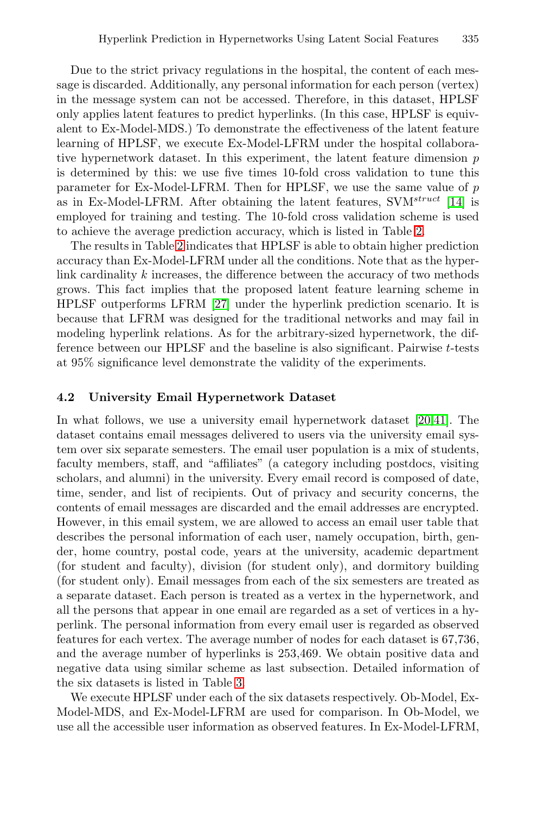Due to the strict privacy regulations in the hospital, the content of each message is discarded. Additionally, any personal information for each person (vertex) in the message system can not be accessed. Therefore, in this dataset, HPLSF only applies latent features to predict hyperlinks. (In this case, HPLSF is equivalent to Ex-Model-MDS.) To demonstrate the effectiveness of the latent feature learning of HPLSF, we execute Ex-Model-LFRM under the hospital collaborative hypernetwork dataset. In this experiment, the latent feature dimension p is determined by this: we use five times 10-fold cross validation to tune this parameter for Ex-Model-LFRM. Then for HPLSF, we use the same value of p as in Ex-Model-LFRM. After obtaining the latent features,  $\text{SVM}^{struct}$  [14] is employed for training and testing. The 10-fold cross validation scheme is used to achieve the average prediction accuracy, which is listed in Table 2.

The results in Table 2 indicates that HPLSF is able to obtain higher prediction accuracy than Ex-Model-LFRM under all the conditions. Note that as the hyperlink cardinality k increases, the difference between the accuracy of two methods grows. This fact implies that the proposed latent feature learning scheme in HPLSF outperforms LFRM [27] under the hyperlink prediction scenario. It is because that LFRM was designed for the traditional networks and may fail in modeling hyperlink relations. As for the arbitrary-sized hypernetwork, the difference between our HPLSF and the baseline is also significant. Pairwise t-tests at 95% significance level demonstrate the validity of the experiments.

#### **4.2 University Email Hypernetwork Dataset**

In what follows, we use a university email hypernetwork dataset [20,41]. The dataset contains email messages delivered to users via the university email system over six separate semesters. The email user population is a mix of students, faculty members, staff, and "affiliates" (a category including postdocs, visiting scholars, and alumni) in the university. Every email record is composed of date, time, sender, and list of recipients. Out of privacy and security concerns, the contents of email messages are discarded and the email addresses are encrypted. However, in this email system, we are allowed to access an email user table that describes the personal information of each user, namely occupation, birth, gender, home country, postal code, years at the university, academic department (for student and faculty), division (for student only), and dormitory building (for student only). Email messages from each of the six semesters are treated as a separate dataset. Each person is treated as a vertex in the hypernetwork, and all the persons that appear in one email are regarded as a set of vertices in a hyperlink. The personal information from every email user is regarded as observed features for each vertex. The average number of nodes for each dataset is 67,736, and the average number of hyperlinks is 253,469. We obtain positive data and negative data using similar scheme as last subsection. Detailed information of the six datasets is listed in Table 3.

We execute HPLSF under each of the six datasets respectively. Ob-Model, Ex-Model-MDS, and Ex-Model-LFRM are used for comparison. In Ob-Model, we use all the accessible user information as observed features. In Ex-Model-LFRM,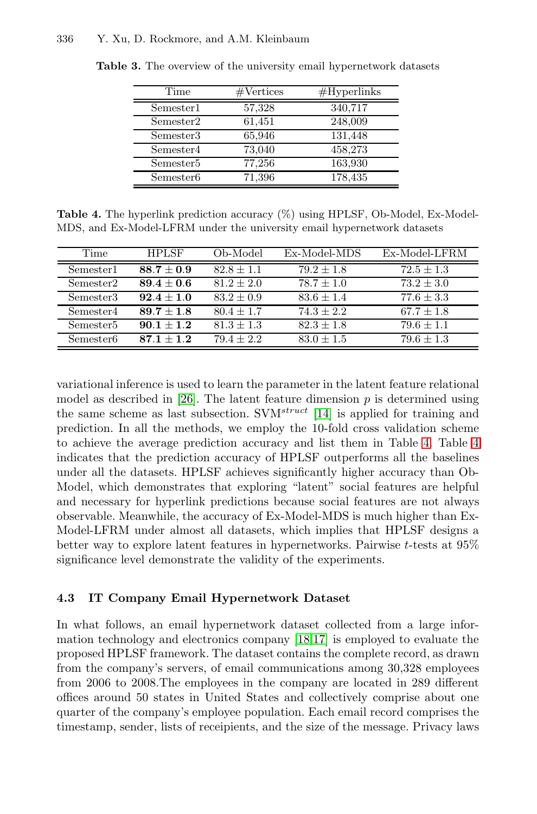| Time                  | #Vertices | #Hyperlinks |
|-----------------------|-----------|-------------|
| Semester1             | 57,328    | 340,717     |
| Semester2             | 61,451    | 248,009     |
| Semester3             | 65,946    | 131,448     |
| Semester4             | 73,040    | 458,273     |
| Semester <sub>5</sub> | 77,256    | 163,930     |
| Semester <sub>6</sub> | 71,396    | 178,435     |

**Table 3.** The overview of the university email hypernetwork datasets

**Table 4.** The hyperlink prediction accuracy (%) using HPLSF, Ob-Model, Ex-Model-MDS, and Ex-Model-LFRM under the university email hypernetwork datasets

| Time                  | <b>HPLSF</b> | Ob-Model     | Ex-Model-MDS   | Ex-Model-LFRM  |
|-----------------------|--------------|--------------|----------------|----------------|
| Semester1             | $88.7 + 0.9$ | $82.8 + 1.1$ | $79.2 \pm 1.8$ | $72.5 \pm 1.3$ |
| Semester2             | $89.4 + 0.6$ | $81.2 + 2.0$ | $78.7 + 1.0$   | $73.2 + 3.0$   |
| Semester3             | $92.4 + 1.0$ | $83.2 + 0.9$ | $83.6 + 1.4$   | $77.6 + 3.3$   |
| Semester4             | $89.7 + 1.8$ | $80.4 + 1.7$ | $74.3 + 2.2$   | $67.7 + 1.8$   |
| Semester <sub>5</sub> | $90.1 + 1.2$ | $81.3 + 1.3$ | $82.3 + 1.8$   | $79.6 + 1.1$   |
| Semester <sub>6</sub> | $87.1 + 1.2$ | $79.4 + 2.2$ | $83.0 + 1.5$   | $79.6 + 1.3$   |

variational inference is used to learn the parameter in the latent feature relational model as described in [26]. The latent feature dimension  $p$  is determined using the same scheme as last subsection. SV $M^{struct}$  [14] is applied for training and prediction. In all the methods, we employ the 10-fold cross validation scheme to achieve the average prediction accuracy and list them in Table 4. Table 4 indicates that the prediction accuracy of HPLSF outperforms all the baselines under all the datasets. HPLSF achieves significantly higher accuracy than Ob-Model, which demonstrates that exploring "latent" social features are helpful and necessary for hyperlink predictions because social features are not always observable. Meanwhile, the accuracy of Ex-Model-MDS is much higher than Ex-Model-LFRM under almost all datasets, which implies that HPLSF designs a better way to explore latent features in hypernetworks. Pairwise  $t$ -tests at  $95\%$ significance level demonstrate the validity of the experiments.

## **4.3 IT Company Email Hypernetwork Dataset**

In what follows, an email hypernetwork dataset collected from a large information technology and electronics company [18,17] is employed to evaluate the proposed HPLSF framework. The dataset contains the complete record, as drawn from the company's servers, of email communications among 30,328 employees from 2006 to 2008.The employees in the company are located in 289 different offices around 50 states in United States and collectively comprise about one quarter of the company's employee population. Each email record comprises the timestamp, sender, lists of receipients, and the size of the message. Privacy laws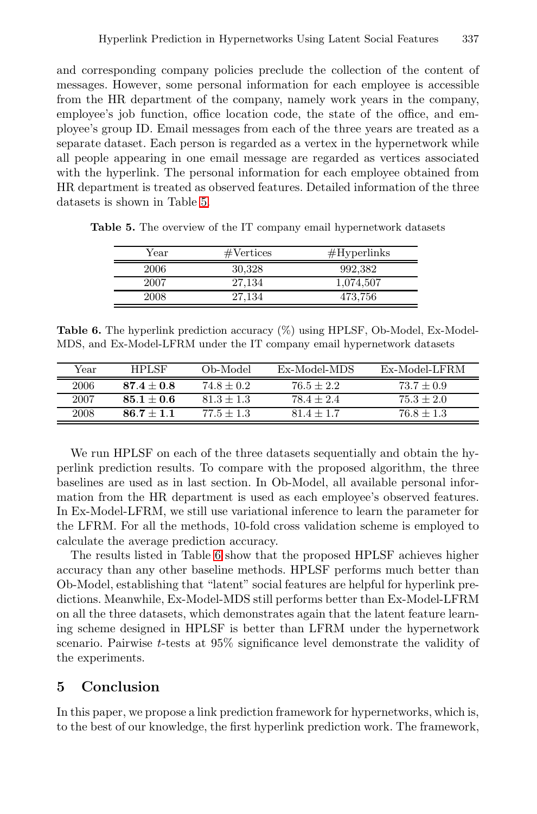and corresponding company policies preclude the collection of the content of messages. However, some personal information for each employee is accessible from the HR department of the company, namely work years in the company, employee's job function, office location code, the state of the office, and employee's group ID. Email messages from each of the three years are treated as a separate dataset. Each person is regarded as a vertex in the hypernetwork while all people appearing in one email message are regarded as vertices associated with the hyperlink. The personal information for each employee obtained from HR department is treated as observed features. Detailed information of the three datasets is shown in Table 5.

**Table 5.** The overview of the IT company email hypernetwork datasets

| 30.328<br>992,382<br>2006<br>27,134<br>1,074,507<br>2007<br>2008 | #Hyperlinks | $\#Vertices$ | Year |
|------------------------------------------------------------------|-------------|--------------|------|
|                                                                  |             |              |      |
|                                                                  |             |              |      |
|                                                                  | 473,756     | 27.134       |      |

**Table 6.** The hyperlink prediction accuracy (%) using HPLSF, Ob-Model, Ex-Model-MDS, and Ex-Model-LFRM under the IT company email hypernetwork datasets

| Year | HPLSF        | Ob-Model     | Ex-Model-MDS | Ex-Model-LFRM |
|------|--------------|--------------|--------------|---------------|
| 2006 | $87.4 + 0.8$ | $74.8 + 0.2$ | $76.5 + 2.2$ | $73.7 + 0.9$  |
| 2007 | $85.1 + 0.6$ | $81.3 + 1.3$ | $78.4 + 2.4$ | $75.3 + 2.0$  |
| 2008 | $86.7 + 1.1$ | $77.5 + 1.3$ | $81.4 + 1.7$ | $76.8 + 1.3$  |
|      |              |              |              |               |

We run HPLSF on each of the three datasets sequentially and obtain the hyperlink prediction results. To compare with the proposed algorithm, the three baselines are used as in last section. In Ob-Model, all available personal information from the HR department is used as each employee's observed features. In Ex-Model-LFRM, we still use variational inference to learn the parameter for the LFRM. For all the methods, 10-fold cross validation scheme is employed to calculate the average prediction accuracy.

The results listed in Table 6 show that the proposed HPLSF achieves higher accuracy than any other baseline methods. HPLSF performs much better than Ob-Model, establishing that "latent" social features are helpful for hyperlink predictions. Meanwhile, Ex-Model-MDS still performs better than Ex-Model-LFRM on all the three datasets, which demonstrates again that the latent feature learning scheme designed in HPLSF is better than LFRM under the hypernetwork scenario. Pairwise *t*-tests at 95% significance level demonstrate the validity of the experiments.

# **5 Conclusion**

In this paper, we propose a link prediction framework for hypernetworks, which is, to the best of our knowledge, the first hyperlink prediction work. The framework,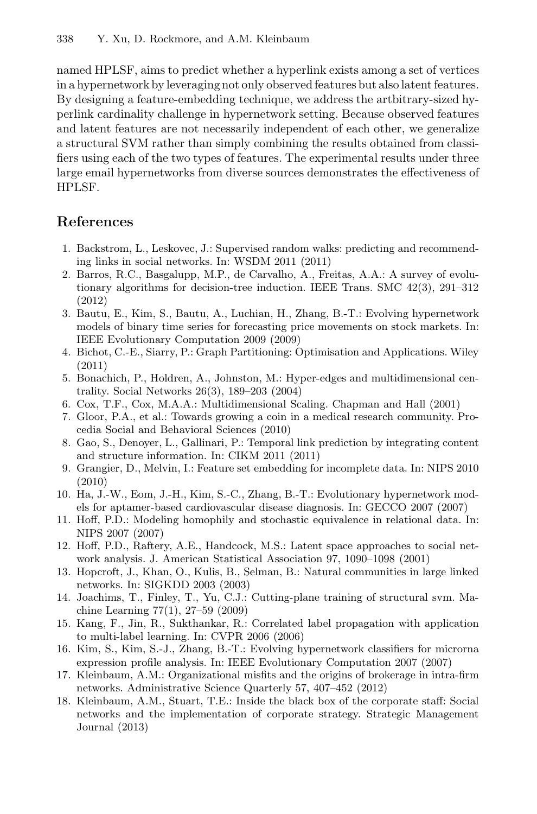named HPLSF, aims to predict whether a hyperlink exists among a set of vertices in a hypernetwork by leveraging not only observed features but also latent features. By designing a feature-embedding technique, we address the artbitrary-sized hyperlink cardinality challenge in hypernetwork setting. Because observed features and latent features are not necessarily independent of each other, we generalize a structural SVM rather than simply combining the results obtained from classifiers using each of the two types of features. The experimental results under three large email hypernetworks from diverse sources demonstrates the effectiveness of HPLSF.

# **References**

- 1. Backstrom, L., Leskovec, J.: Supervised random walks: predicting and recommending links in social networks. In: WSDM 2011 (2011)
- 2. Barros, R.C., Basgalupp, M.P., de Carvalho, A., Freitas, A.A.: A survey of evolutionary algorithms for decision-tree induction. IEEE Trans. SMC 42(3), 291–312 (2012)
- 3. Bautu, E., Kim, S., Bautu, A., Luchian, H., Zhang, B.-T.: Evolving hypernetwork models of binary time series for forecasting price movements on stock markets. In: IEEE Evolutionary Computation 2009 (2009)
- 4. Bichot, C.-E., Siarry, P.: Graph Partitioning: Optimisation and Applications. Wiley (2011)
- 5. Bonachich, P., Holdren, A., Johnston, M.: Hyper-edges and multidimensional centrality. Social Networks 26(3), 189–203 (2004)
- 6. Cox, T.F., Cox, M.A.A.: Multidimensional Scaling. Chapman and Hall (2001)
- 7. Gloor, P.A., et al.: Towards growing a coin in a medical research community. Procedia Social and Behavioral Sciences (2010)
- 8. Gao, S., Denoyer, L., Gallinari, P.: Temporal link prediction by integrating content and structure information. In: CIKM 2011 (2011)
- 9. Grangier, D., Melvin, I.: Feature set embedding for incomplete data. In: NIPS 2010 (2010)
- 10. Ha, J.-W., Eom, J.-H., Kim, S.-C., Zhang, B.-T.: Evolutionary hypernetwork models for aptamer-based cardiovascular disease diagnosis. In: GECCO 2007 (2007)
- 11. Hoff, P.D.: Modeling homophily and stochastic equivalence in relational data. In: NIPS 2007 (2007)
- 12. Hoff, P.D., Raftery, A.E., Handcock, M.S.: Latent space approaches to social network analysis. J. American Statistical Association 97, 1090–1098 (2001)
- 13. Hopcroft, J., Khan, O., Kulis, B., Selman, B.: Natural communities in large linked networks. In: SIGKDD 2003 (2003)
- 14. Joachims, T., Finley, T., Yu, C.J.: Cutting-plane training of structural svm. Machine Learning 77(1), 27–59 (2009)
- 15. Kang, F., Jin, R., Sukthankar, R.: Correlated label propagation with application to multi-label learning. In: CVPR 2006 (2006)
- 16. Kim, S., Kim, S.-J., Zhang, B.-T.: Evolving hypernetwork classifiers for microrna expression profile analysis. In: IEEE Evolutionary Computation 2007 (2007)
- 17. Kleinbaum, A.M.: Organizational misfits and the origins of brokerage in intra-firm networks. Administrative Science Quarterly 57, 407–452 (2012)
- 18. Kleinbaum, A.M., Stuart, T.E.: Inside the black box of the corporate staff: Social networks and the implementation of corporate strategy. Strategic Management Journal (2013)